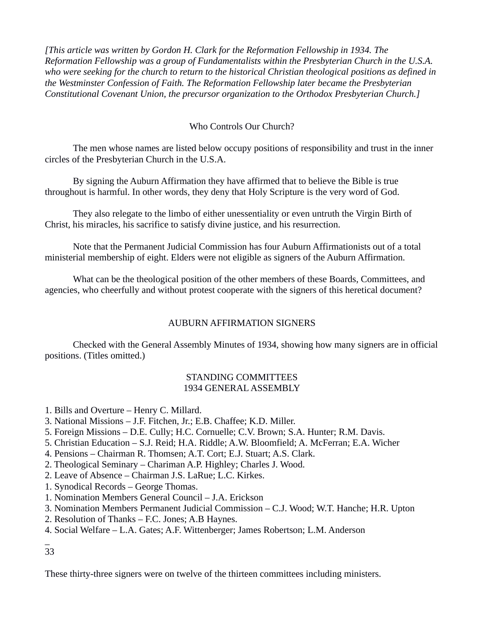*[This article was written by Gordon H. Clark for the Reformation Fellowship in 1934. The Reformation Fellowship was a group of Fundamentalists within the Presbyterian Church in the U.S.A. who were seeking for the church to return to the historical Christian theological positions as defined in the Westminster Confession of Faith. The Reformation Fellowship later became the Presbyterian Constitutional Covenant Union, the precursor organization to the Orthodox Presbyterian Church.]*

# Who Controls Our Church?

The men whose names are listed below occupy positions of responsibility and trust in the inner circles of the Presbyterian Church in the U.S.A.

By signing the Auburn Affirmation they have affirmed that to believe the Bible is true throughout is harmful. In other words, they deny that Holy Scripture is the very word of God.

They also relegate to the limbo of either unessentiality or even untruth the Virgin Birth of Christ, his miracles, his sacrifice to satisfy divine justice, and his resurrection.

Note that the Permanent Judicial Commission has four Auburn Affirmationists out of a total ministerial membership of eight. Elders were not eligible as signers of the Auburn Affirmation.

What can be the theological position of the other members of these Boards, Committees, and agencies, who cheerfully and without protest cooperate with the signers of this heretical document?

## AUBURN AFFIRMATION SIGNERS

Checked with the General Assembly Minutes of 1934, showing how many signers are in official positions. (Titles omitted.)

#### STANDING COMMITTEES 1934 GENERAL ASSEMBLY

- 1. Bills and Overture Henry C. Millard.
- 3. National Missions J.F. Fitchen, Jr.; E.B. Chaffee; K.D. Miller.
- 5. Foreign Missions D.E. Cully; H.C. Cornuelle; C.V. Brown; S.A. Hunter; R.M. Davis.
- 5. Christian Education S.J. Reid; H.A. Riddle; A.W. Bloomfield; A. McFerran; E.A. Wicher
- 4. Pensions Chairman R. Thomsen; A.T. Cort; E.J. Stuart; A.S. Clark.
- 2. Theological Seminary Chariman A.P. Highley; Charles J. Wood.
- 2. Leave of Absence Chairman J.S. LaRue; L.C. Kirkes.
- 1. Synodical Records George Thomas.
- 1. Nomination Members General Council J.A. Erickson
- 3. Nomination Members Permanent Judicial Commission C.J. Wood; W.T. Hanche; H.R. Upton
- 2. Resolution of Thanks F.C. Jones; A.B Haynes.
- 4. Social Welfare L.A. Gates; A.F. Wittenberger; James Robertson; L.M. Anderson

\_ 33

These thirty-three signers were on twelve of the thirteen committees including ministers.